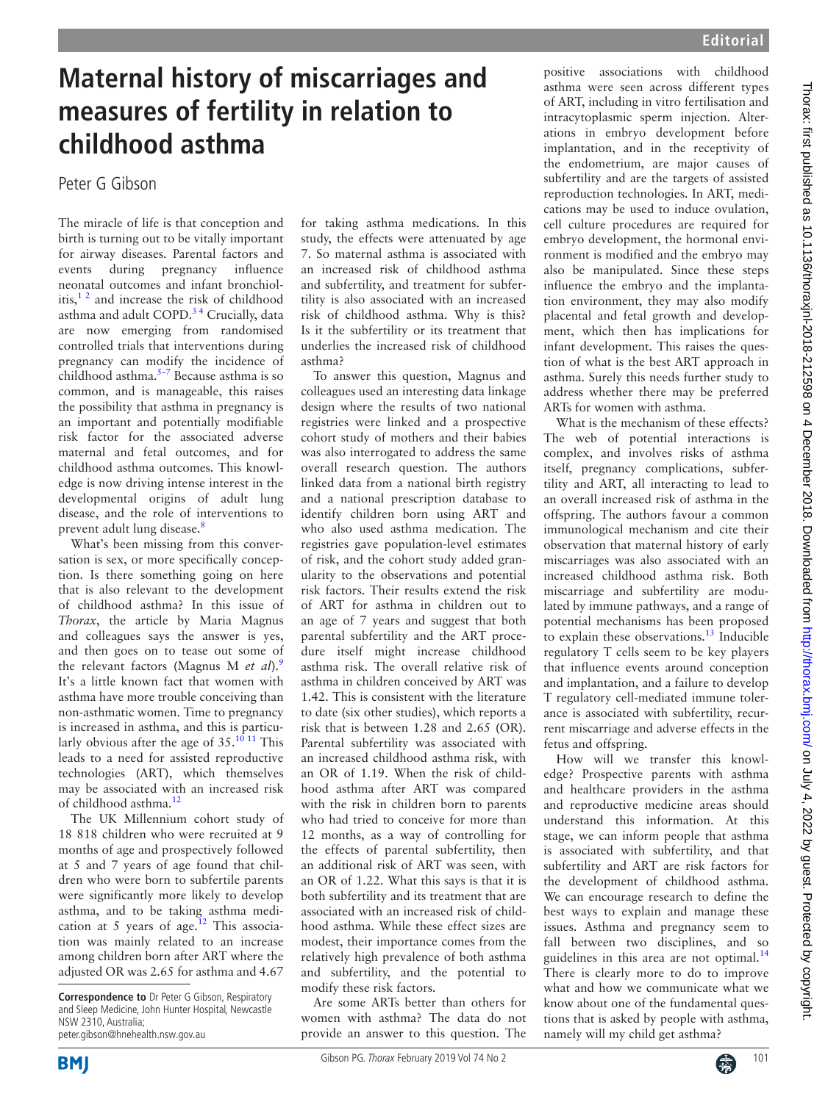## **Maternal history of miscarriages and measures of fertility in relation to childhood asthma**

## Peter G Gibson

The miracle of life is that conception and birth is turning out to be vitally important for airway diseases. Parental factors and events during pregnancy influence neonatal outcomes and infant bronchiolitis, $1<sup>2</sup>$  and increase the risk of childhood asthma and adult COPD.<sup>34</sup> Crucially, data are now emerging from randomised controlled trials that interventions during pregnancy can modify the incidence of childhood asthma[.5–7](#page-1-2) Because asthma is so common, and is manageable, this raises the possibility that asthma in pregnancy is an important and potentially modifiable risk factor for the associated adverse maternal and fetal outcomes, and for childhood asthma outcomes. This knowledge is now driving intense interest in the developmental origins of adult lung disease, and the role of interventions to prevent adult lung disease.<sup>8</sup>

What's been missing from this conversation is sex, or more specifically conception. Is there something going on here that is also relevant to the development of childhood asthma? In this issue of *Thorax*, the article by Maria Magnus and colleagues says the answer is yes, and then goes on to tease out some of the relevant factors (Magnus M *et al*).[9](#page-1-4) It's a little known fact that women with asthma have more trouble conceiving than non-asthmatic women. Time to pregnancy is increased in asthma, and this is particularly obvious after the age of  $35.10^{11}$  This leads to a need for assisted reproductive technologies (ART), which themselves may be associated with an increased risk of childhood asthma.[12](#page-1-6)

The UK Millennium cohort study of 18 818 children who were recruited at 9 months of age and prospectively followed at 5 and 7 years of age found that children who were born to subfertile parents were significantly more likely to develop asthma, and to be taking asthma medication at 5 years of age.<sup>12</sup> This association was mainly related to an increase among children born after ART where the adjusted OR was 2.65 for asthma and 4.67

for taking asthma medications. In this study, the effects were attenuated by age 7. So maternal asthma is associated with an increased risk of childhood asthma and subfertility, and treatment for subfertility is also associated with an increased risk of childhood asthma. Why is this? Is it the subfertility or its treatment that underlies the increased risk of childhood asthma?

To answer this question, Magnus and colleagues used an interesting data linkage design where the results of two national registries were linked and a prospective cohort study of mothers and their babies was also interrogated to address the same overall research question. The authors linked data from a national birth registry and a national prescription database to identify children born using ART and who also used asthma medication. The registries gave population-level estimates of risk, and the cohort study added granularity to the observations and potential risk factors. Their results extend the risk of ART for asthma in children out to an age of 7 years and suggest that both parental subfertility and the ART procedure itself might increase childhood asthma risk. The overall relative risk of asthma in children conceived by ART was 1.42. This is consistent with the literature to date (six other studies), which reports a risk that is between 1.28 and 2.65 (OR). Parental subfertility was associated with an increased childhood asthma risk, with an OR of 1.19. When the risk of childhood asthma after ART was compared with the risk in children born to parents who had tried to conceive for more than 12 months, as a way of controlling for the effects of parental subfertility, then an additional risk of ART was seen, with an OR of 1.22. What this says is that it is both subfertility and its treatment that are associated with an increased risk of childhood asthma. While these effect sizes are modest, their importance comes from the relatively high prevalence of both asthma and subfertility, and the potential to modify these risk factors.

Are some ARTs better than others for women with asthma? The data do not provide an answer to this question. The positive associations with childhood asthma were seen across different types of ART, including in vitro fertilisation and intracytoplasmic sperm injection. Alterations in embryo development before implantation, and in the receptivity of the endometrium, are major causes of subfertility and are the targets of assisted reproduction technologies. In ART, medications may be used to induce ovulation, cell culture procedures are required for embryo development, the hormonal environment is modified and the embryo may also be manipulated. Since these steps influence the embryo and the implantation environment, they may also modify placental and fetal growth and development, which then has implications for infant development. This raises the question of what is the best ART approach in asthma. Surely this needs further study to address whether there may be preferred ARTs for women with asthma.

What is the mechanism of these effects? The web of potential interactions is complex, and involves risks of asthma itself, pregnancy complications, subfertility and ART, all interacting to lead to an overall increased risk of asthma in the offspring. The authors favour a common immunological mechanism and cite their observation that maternal history of early miscarriages was also associated with an increased childhood asthma risk. Both miscarriage and subfertility are modulated by immune pathways, and a range of potential mechanisms has been proposed to explain these observations.<sup>[13](#page-1-7)</sup> Inducible regulatory T cells seem to be key players that influence events around conception and implantation, and a failure to develop T regulatory cell-mediated immune tolerance is associated with subfertility, recurrent miscarriage and adverse effects in the fetus and offspring.

How will we transfer this knowledge? Prospective parents with asthma and healthcare providers in the asthma and reproductive medicine areas should understand this information. At this stage, we can inform people that asthma is associated with subfertility, and that subfertility and ART are risk factors for the development of childhood asthma. We can encourage research to define the best ways to explain and manage these issues. Asthma and pregnancy seem to fall between two disciplines, and so guidelines in this area are not optimal.<sup>[14](#page-1-8)</sup> There is clearly more to do to improve what and how we communicate what we know about one of the fundamental questions that is asked by people with asthma, namely will my child get asthma?



**Correspondence to** Dr Peter G Gibson, Respiratory and Sleep Medicine, John Hunter Hospital, Newcastle NSW 2310, Australia; peter.gibson@hnehealth.nsw.gov.au